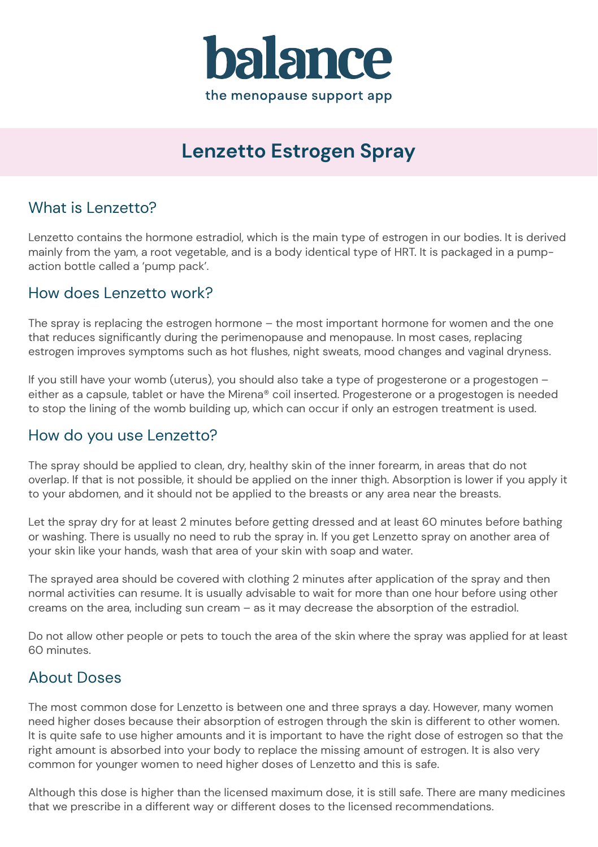

# **Lenzetto Estrogen Spray**

# What is Lenzetto?

Lenzetto contains the hormone estradiol, which is the main type of estrogen in our bodies. It is derived mainly from the yam, a root vegetable, and is a body identical type of HRT. It is packaged in a pumpaction bottle called a 'pump pack'.

### How does Lenzetto work?

The spray is replacing the estrogen hormone – the most important hormone for women and the one that reduces significantly during the perimenopause and menopause. In most cases, replacing estrogen improves symptoms such as hot flushes, night sweats, mood changes and vaginal dryness.

If you still have your womb (uterus), you should also take a type of progesterone or a progestogen – either as a capsule, tablet or have the Mirena® coil inserted. Progesterone or a progestogen is needed to stop the lining of the womb building up, which can occur if only an estrogen treatment is used.

## How do you use Lenzetto?

The spray should be applied to clean, dry, healthy skin of the inner forearm, in areas that do not overlap. If that is not possible, it should be applied on the inner thigh. Absorption is lower if you apply it to your abdomen, and it should not be applied to the breasts or any area near the breasts.

Let the spray dry for at least 2 minutes before getting dressed and at least 60 minutes before bathing or washing. There is usually no need to rub the spray in. If you get Lenzetto spray on another area of your skin like your hands, wash that area of your skin with soap and water.

The sprayed area should be covered with clothing 2 minutes after application of the spray and then normal activities can resume. It is usually advisable to wait for more than one hour before using other creams on the area, including sun cream – as it may decrease the absorption of the estradiol.

Do not allow other people or pets to touch the area of the skin where the spray was applied for at least 60 minutes.

#### About Doses

The most common dose for Lenzetto is between one and three sprays a day. However, many women need higher doses because their absorption of estrogen through the skin is different to other women. It is quite safe to use higher amounts and it is important to have the right dose of estrogen so that the right amount is absorbed into your body to replace the missing amount of estrogen. It is also very common for younger women to need higher doses of Lenzetto and this is safe.

Although this dose is higher than the licensed maximum dose, it is still safe. There are many medicines that we prescribe in a different way or different doses to the licensed recommendations.